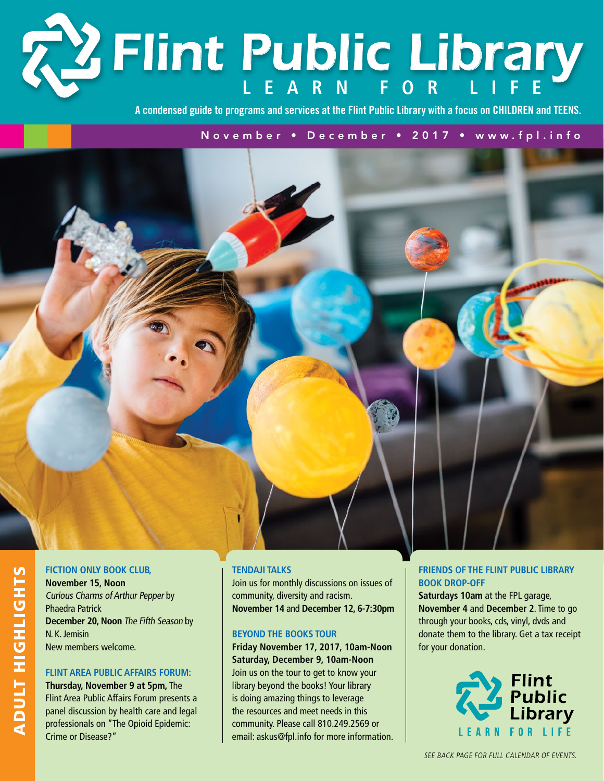# **Learn f or Li f e** *Flint Public Library*

**A condensed guide to programs and services at the Flint Public Library with a focus on CHILDREN and TEENS.**

November • December • 2017 • www.fpl.info



### **Fiction Only Book Club,**

Adult Hig

hlig

S<br>H

**November 15, Noon** Curious Charms of Arthur Pepper by Phaedra Patrick **December 20, Noon** The Fifth Season by N. K. Jemisin New members welcome.

#### **Flint Area Public Affairs Forum:**

**Thursday, November 9 at 5pm,** The Flint Area Public Affairs Forum presents a panel discussion by health care and legal professionals on "The Opioid Epidemic: Crime or Disease?"

#### **Tendaji Talks**

Join us for monthly discussions on issues of community, diversity and racism. **November 14** and **December 12, 6-7:30pm**

#### **Beyond the Books Tour**

**Friday November 17, 2017, 10am-Noon Saturday, December 9, 10am-Noon** Join us on the tour to get to know your library beyond the books! Your library is doing amazing things to leverage the resources and meet needs in this community. Please call 810.249.2569 or email: askus@fpl.info for more information.

#### **Friends of the Flint Public Library Book Drop-Off**

**Saturdays 10am** at the FPL garage, **November 4** and **December 2**. Time to go through your books, cds, vinyl, dvds and donate them to the library. Get a tax receipt for your donation.

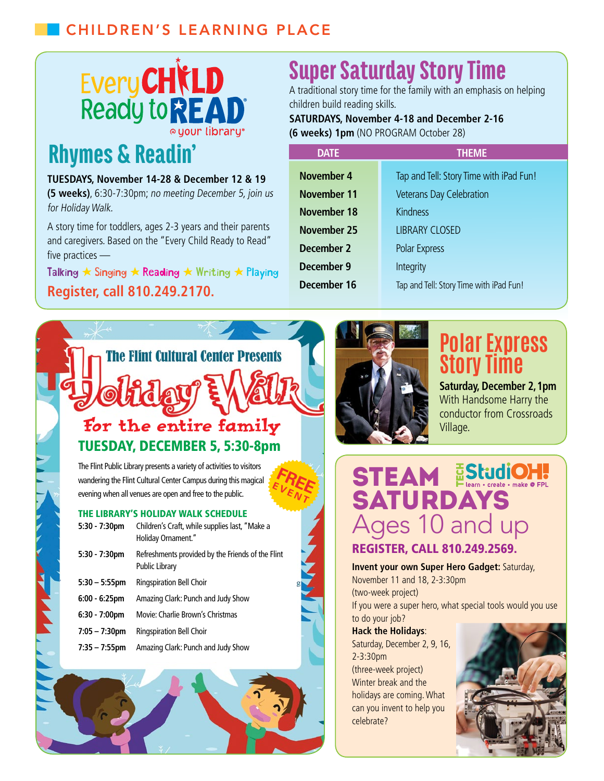## Children's Learning Place



# **Rhymes & Readin'**

#### **TUESDAYS, November 14-28 & December 12 & 19**

**(5 weeks)**, 6:30-7:30pm; no meeting December 5, join us for Holiday Walk.

A story time for toddlers, ages 2-3 years and their parents and caregivers. Based on the "Every Child Ready to Read" five practices —

**Register, call 810.249.2170.** Talking  $\star$  Singing  $\star$  Reading  $\star$  Writing  $\star$  Playing

# **The Flint Cultural Center Presents** For the entire family TUESDAY, DECEMBER 5, 5:30-8pm

The Flint Public Library presents a variety of activities to visitors wandering the Flint Cultural Center Campus during this magical evening when all venues are open and free to the public.

#### The Library's Holiday Walk Schedule

| $5:30 - 7:30$ pm        | Children's Craft, while supplies last, "Make a<br>Holiday Ornament."       |
|-------------------------|----------------------------------------------------------------------------|
| $5:30 - 7:30$ pm        | Refreshments provided by the Friends of the Flint<br><b>Public Library</b> |
| $5:30 - 5:55$ pm        | <b>Ringspiration Bell Choir</b>                                            |
| $6:00 - 6:25$ pm        | Amazing Clark: Punch and Judy Show                                         |
| $6:30 - 7:00 \text{pm}$ | Movie: Charlie Brown's Christmas                                           |
| $7:05 - 7:30$ pm        | <b>Ringspiration Bell Choir</b>                                            |
| $7:35 - 7:55$ pm        | Amazing Clark: Punch and Judy Show                                         |



# Super Saturday Story Time

A traditional story time for the family with an emphasis on helping children build reading skills.

### **SATURDAYS, November 4-18 and December 2-16 (6 weeks) 1pm** (NO PROGRAM October 28)

| <b>DATE</b>        | <b>THEME</b>                            |
|--------------------|-----------------------------------------|
| November 4         | Tap and Tell: Story Time with iPad Fun! |
| November 11        | <b>Veterans Day Celebration</b>         |
| <b>November 18</b> | <b>Kindness</b>                         |
| <b>November 25</b> | <b>LIBRARY CLOSED</b>                   |
| December 2         | Polar Express                           |
| December 9         | Integrity                               |
| December 16        | Tap and Tell: Story Time with iPad Fun! |
|                    |                                         |



**Free <sup>E</sup> <sup>V</sup> <sup>E</sup> <sup>N</sup>**

 $\boldsymbol{\tau}$ 

# **Polar Express Story Time**

**Saturday, December 2, 1pm** With Handsome Harry the conductor from Crossroads Village.

STEAM EStudioH. SATURDAYS Ages 10 and up Register, Call 810.249.2569.

**Invent your own Super Hero Gadget:** Saturday, November 11 and 18, 2-3:30pm (two-week project)

If you were a super hero, what special tools would you use

#### to do your job? **Hack the Holidays**: Saturday, December 2, 9, 16, 2-3:30pm

(three-week project) Winter break and the holidays are coming. What can you invent to help you celebrate?

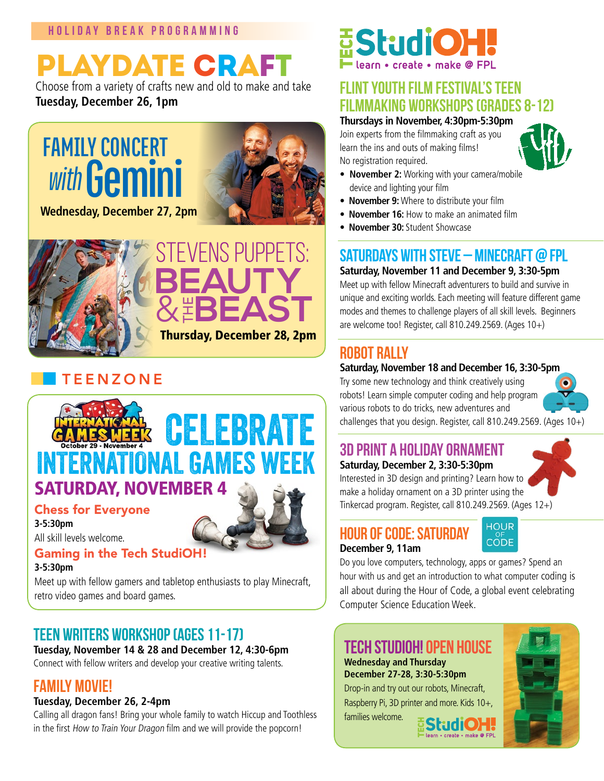# Playdate Craft

Choose from a variety of crafts new and old to make and take **Tuesday, December 26, 1pm**



**Wednesday, December 27, 2pm**



## **TEENZONE**



#### **3-5:30pm**

Meet up with fellow gamers and tabletop enthusiasts to play Minecraft, retro video games and board games.

## Teen Writers Workshop (ages 11-17)

**Tuesday, November 14 & 28 and December 12, 4:30-6pm**

Connect with fellow writers and develop your creative writing talents.

## Family Movie!

## **Tuesday, December 26, 2-4pm**

Calling all dragon fans! Bring your whole family to watch Hiccup and Toothless in the first How to Train Your Dragon film and we will provide the popcorn!

# **StudiOH**

## Flint Youth Film Festival's Teen Filmmaking Workshops (Grades 8-12)

### **Thursdays in November, 4:30pm-5:30pm**

Join experts from the filmmaking craft as you learn the ins and outs of making films! No registration required.



- **November 2:** Working with your camera/mobile device and lighting your film
- **November 9:** Where to distribute your film
- **November 16:** How to make an animated film
- **November 30:** Student Showcase

## Saturdays with Steve – Minecraft @ FPL

**Saturday, November 11 and December 9, 3:30-5pm**

Meet up with fellow Minecraft adventurers to build and survive in unique and exciting worlds. Each meeting will feature different game modes and themes to challenge players of all skill levels. Beginners are welcome too! Register, call 810.249.2569. (Ages 10+)

## Robot Rally

## **Saturday, November 18 and December 16, 3:30-5pm**

Try some new technology and think creatively using robots! Learn simple computer coding and help program various robots to do tricks, new adventures and challenges that you design. Register, call 810.249.2569. (Ages 10+)



# 3D Print a Holiday Ornament

## **Saturday, December 2, 3:30-5:30pm**

Interested in 3D design and printing? Learn how to make a holiday ornament on a 3D printer using the Tinkercad program. Register, call 810.249.2569. (Ages 12+)



Hour of Code: Saturday **December 9, 11am** 



Do you love computers, technology, apps or games? Spend an hour with us and get an introduction to what computer coding is all about during the Hour of Code, a global event celebrating Computer Science Education Week.

## **TECH STUDIOH! OPEN HOUSE**

**Wednesday and Thursday December 27-28, 3:30-5:30pm**

Drop-in and try out our robots, Minecraft, Raspberry Pi, 3D printer and more. Kids 10+,

families welcome.